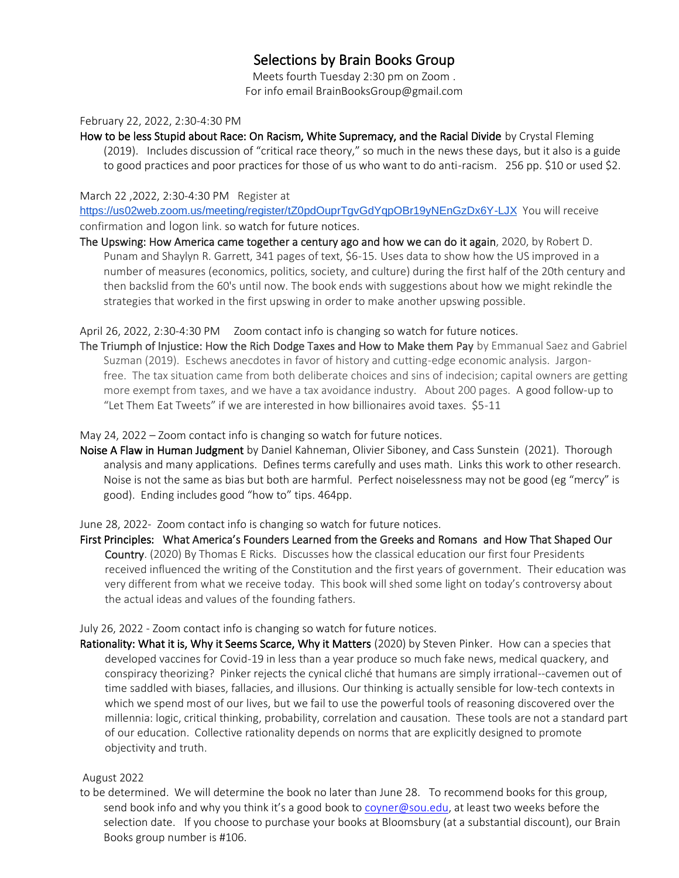# Selections by Brain Books Group

Meets fourth Tuesday 2:30 pm on Zoom . For info email BrainBooksGroup@gmail.com

#### February 22, 2022, 2:30-4:30 PM

How to be less Stupid about Race: On Racism, White Supremacy, and the Racial Divide by Crystal Fleming (2019). Includes discussion of "critical race theory," so much in the news these days, but it also is a guide to good practices and poor practices for those of us who want to do anti-racism. 256 pp. \$10 or used \$2.

### March 22 ,2022, 2:30-4:30 PM Register at

<https://us02web.zoom.us/meeting/register/tZ0pdOuprTgvGdYqpOBr19yNEnGzDx6Y-LJX> You will receive confirmation and logon link. so watch for future notices.

The Upswing: How America came together a century ago and how we can do it again, 2020, by Robert D. Punam and Shaylyn R. Garrett, 341 pages of text, \$6-15. Uses data to show how the US improved in a number of measures (economics, politics, society, and culture) during the first half of the 20th century and then backslid from the 60's until now. The book ends with suggestions about how we might rekindle the strategies that worked in the first upswing in order to make another upswing possible.

### April 26, 2022, 2:30-4:30 PM Zoom contact info is changing so watch for future notices.

The Triumph of Injustice: How the Rich Dodge Taxes and How to Make them Pay by Emmanual Saez and Gabriel Suzman (2019). Eschews anecdotes in favor of history and cutting-edge economic analysis. Jargonfree. The tax situation came from both deliberate choices and sins of indecision; capital owners are getting more exempt from taxes, and we have a tax avoidance industry. About 200 pages. A good follow-up to "Let Them Eat Tweets" if we are interested in how billionaires avoid taxes. \$5-11

May 24, 2022 – Zoom contact info is changing so watch for future notices.

Noise A Flaw in Human Judgment by Daniel Kahneman, Olivier Siboney, and Cass Sunstein (2021). Thorough analysis and many applications. Defines terms carefully and uses math. Links this work to other research. Noise is not the same as bias but both are harmful. Perfect noiselessness may not be good (eg "mercy" is good). Ending includes good "how to" tips. 464pp.

June 28, 2022- Zoom contact info is changing so watch for future notices.

First Principles: What America's Founders Learned from the Greeks and Romans and How That Shaped Our Country. (2020) By Thomas E Ricks. Discusses how the classical education our first four Presidents received influenced the writing of the Constitution and the first years of government. Their education was very different from what we receive today. This book will shed some light on today's controversy about the actual ideas and values of the founding fathers.

## July 26, 2022 - Zoom contact info is changing so watch for future notices.

Rationality: What it is, Why it Seems Scarce, Why it Matters (2020) by Steven Pinker. How can a species that developed vaccines for Covid-19 in less than a year produce so much fake news, medical quackery, and conspiracy theorizing? Pinker rejects the cynical cliché that humans are simply irrational--cavemen out of time saddled with biases, fallacies, and illusions. Our thinking is actually sensible for low-tech contexts in which we spend most of our lives, but we fail to use the powerful tools of reasoning discovered over the millennia: logic, critical thinking, probability, correlation and causation. These tools are not a standard part of our education. Collective rationality depends on norms that are explicitly designed to promote objectivity and truth.

## August 2022

to be determined. We will determine the book no later than June 28. To recommend books for this group, send book info and why you think it's a good book to [coyner@sou.edu,](mailto:coyner@sou.edu) at least two weeks before the selection date. If you choose to purchase your books at Bloomsbury (at a substantial discount), our Brain Books group number is #106.